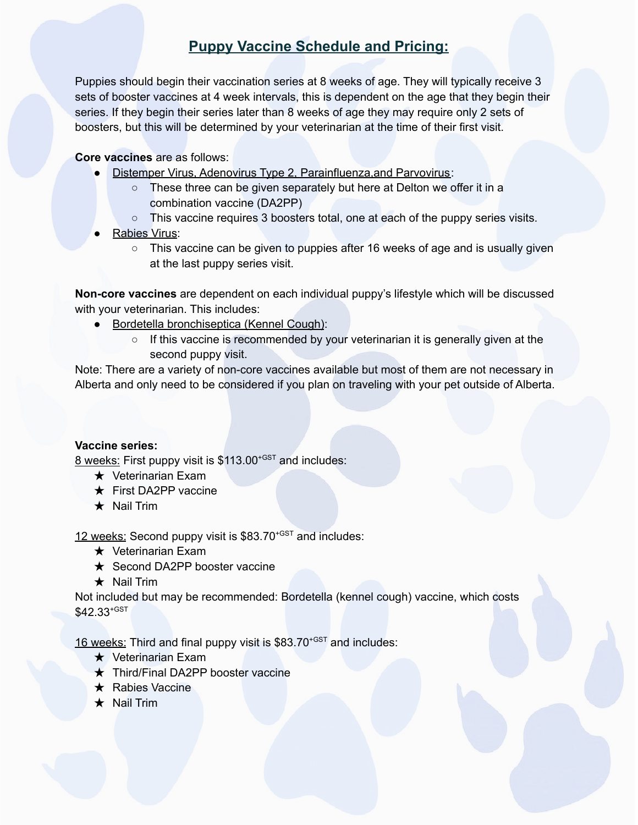## **Puppy Vaccine Schedule and Pricing:**

Puppies should begin their vaccination series at 8 weeks of age. They will typically receive 3 sets of booster vaccines at 4 week intervals, this is dependent on the age that they begin their series. If they begin their series later than 8 weeks of age they may require only 2 sets of boosters, but this will be determined by your veterinarian at the time of their first visit.

## **Core vaccines** are as follows:

- Distemper Virus, Adenovirus Type 2, Parainfluenza, and Parvovirus:
	- These three can be given separately but here at Delton we offer it in a combination vaccine (DA2PP)
	- This vaccine requires 3 boosters total, one at each of the puppy series visits.
- Rabies Virus:
	- $\circ$  This vaccine can be given to puppies after 16 weeks of age and is usually given at the last puppy series visit.

**Non-core vaccines** are dependent on each individual puppy's lifestyle which will be discussed with your veterinarian. This includes:

- Bordetella bronchiseptica (Kennel Cough):
	- If this vaccine is recommended by your veterinarian it is generally given at the second puppy visit.

Note: There are a variety of non-core vaccines available but most of them are not necessary in Alberta and only need to be considered if you plan on traveling with your pet outside of Alberta.

## **Vaccine series:**

8 weeks: First puppy visit is \$113.00<sup>+GST</sup> and includes:

- ★ Veterinarian Exam
- ★ First DA2PP vaccine
- ★ Nail Trim

12 weeks: Second puppy visit is  $$83.70^{+GST}$  and includes:

- **★** Veterinarian Exam
- ★ Second DA2PP booster vaccine
- $\star$  Nail Trim

Not included but may be recommended: Bordetella (kennel cough) vaccine, which costs  $$42.33^{\text{+GST}}$ 

16 weeks: Third and final puppy visit is \$83.70<sup>+GST</sup> and includes:

- ★ Veterinarian Exam
- ★ Third/Final DA2PP booster vaccine
- ★ Rabies Vaccine
- ★ Nail Trim